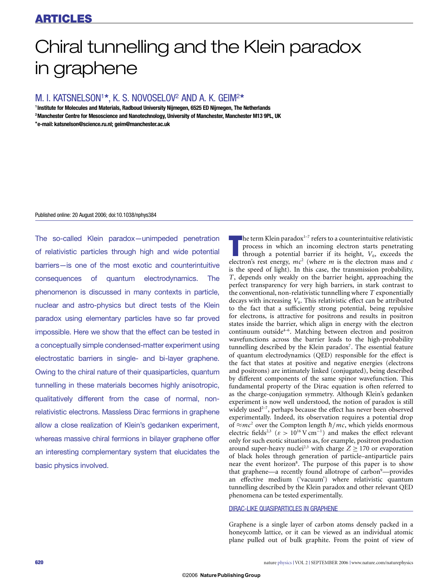# Chiral tunnelling and the Klein paradox in graphene

## M. I. KATSNELSON1**\***, K. S. NOVOSELOV<sup>2</sup> AND A. K. GEIM2**\***

**1 Institute for Molecules and Materials, Radboud University Nijmegen, 6525 ED Nijmegen, The Netherlands 2 Manchester Centre for Mesoscience and Nanotechnology, University of Manchester, Manchester M13 9PL, UK \*e-mail: katsnelson@science.ru.nl; geim@manchester.ac.uk**

### Published online: 20 August 2006; doi:10.1038/nphys384

The so-called Klein paradox—unimpeded penetration of relativistic particles through high and wide potential barriers—is one of the most exotic and counterintuitive consequences of quantum electrodynamics. The phenomenon is discussed in many contexts in particle, nuclear and astro-physics but direct tests of the Klein paradox using elementary particles have so far proved impossible. Here we show that the effect can be tested in a conceptually simple condensed-matter experiment using electrostatic barriers in single- and bi-layer graphene. Owing to the chiral nature of their quasiparticles, quantum tunnelling in these materials becomes highly anisotropic, qualitatively different from the case of normal, nonrelativistic electrons. Massless Dirac fermions in graphene allow a close realization of Klein's gedanken experiment, whereas massive chiral fermions in bilayer graphene offer an interesting complementary system that elucidates the basic physics involved.

**The term Klein paradox**<sup>1-7</sup> refers to a counterintuitive relativistic process in which an incoming electron starts penetrating through a potential barrier if its height,  $V_0$ , exceeds the electron's rest energy,  $mc^2$  ( The term Klein paradox $1-7$  refers to a counterintuitive relativistic process in which an incoming electron starts penetrating through a potential barrier if its height,  $V_0$ , exceeds the is the speed of light). In this case, the transmission probability, *T*, depends only weakly on the barrier height, approaching the perfect transparency for very high barriers, in stark contrast to the conventional, non-relativistic tunnelling where *T* exponentially decays with increasing  $V_0$ . This relativistic effect can be attributed to the fact that a sufficiently strong potential, being repulsive for electrons, is attractive for positrons and results in positron states inside the barrier, which align in energy with the electron continuum outside<sup>4-6</sup>. Matching between electron and positron wavefunctions across the barrier leads to the high-probability tunnelling described by the Klein paradox<sup>7</sup>. The essential feature of quantum electrodynamics (QED) responsible for the effect is the fact that states at positive and negative energies (electrons and positrons) are intimately linked (conjugated), being described by different components of the same spinor wavefunction. This fundamental property of the Dirac equation is often referred to as the charge-conjugation symmetry. Although Klein's gedanken experiment is now well understood, the notion of paradox is still widely used<sup>2-7</sup>, perhaps because the effect has never been observed experimentally. Indeed, its observation requires a potential drop of  $\approx mc^2$  over the Compton length  $\hbar/mc$ , which yields enormous electric fields<sup>2,3</sup> ( $\varepsilon > 10^{16}$  V cm<sup>-1</sup>) and makes the effect relevant only for such exotic situations as, for example, positron production around super-heavy nuclei<sup>2,3</sup> with charge  $Z \ge 170$  or evaporation of black holes through generation of particle–antiparticle pairs near the event horizon<sup>8</sup>. The purpose of this paper is to show that graphene—a recently found allotrope of carbon<sup>9</sup>—provides an effective medium ('vacuum') where relativistic quantum tunnelling described by the Klein paradox and other relevant QED phenomena can be tested experimentally.

### DIRAC-LIKE QUASIPARTICLES IN GRAPHENE

Graphene is a single layer of carbon atoms densely packed in a honeycomb lattice, or it can be viewed as an individual atomic plane pulled out of bulk graphite. From the point of view of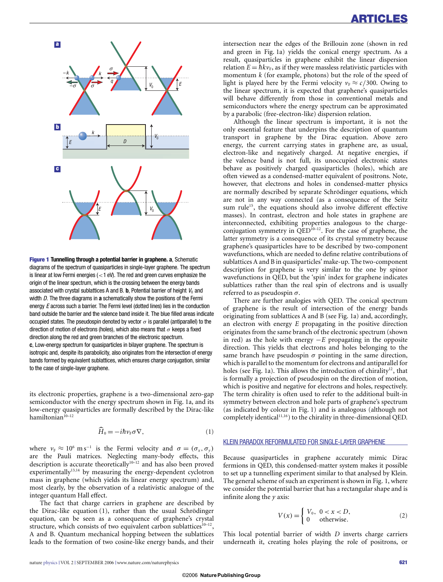

**Figure 1 Tunnelling through a potential barrier in graphene. a**, Schematic diagrams of the spectrum of quasiparticles in single-layer graphene. The spectrum is linear at low Fermi energies  $( $1$  eV). The red and green curves emphasize the$ origin of the linear spectrum, which is the crossing between the energy bands associated with crystal sublattices A and B. **b**, Potential barrier of height  $V_0$  and width D. The three diagrams in **a** schematically show the positions of the Fermi energy E across such a barrier. The Fermi level (dotted lines) lies in the conduction band outside the barrier and the valence band inside it. The blue filled areas indicate occupied states. The pseudospin denoted by vector  $\sigma$  is parallel (antiparallel) to the direction of motion of electrons (holes), which also means that  $\sigma$  keeps a fixed direction along the red and green branches of the electronic spectrum. **c**, Low-energy spectrum for quasiparticles in bilayer graphene. The spectrum is isotropic and, despite its parabolicity, also originates from the intersection of energy bands formed by equivalent sublattices, which ensures charge conjugation, similar to the case of single-layer graphene.

its electronic properties, graphene is a two-dimensional zero-gap semiconductor with the energy spectrum shown in Fig. 1a, and its low-energy quasiparticles are formally described by the Dirac-like hamiltonian<sup>10-12</sup>

$$
\widehat{H}_0 = -i\hbar v_{\rm F}\sigma \nabla,\tag{1}
$$

where  $v_F \approx 10^6 \text{ m s}^{-1}$  is the Fermi velocity and  $\sigma = (\sigma_x, \sigma_y)$ are the Pauli matrices. Neglecting many-body effects, this description is accurate theoretically<sup>10-12</sup> and has also been proved experimentally<sup>13,14</sup> by measuring the energy-dependent cyclotron mass in graphene (which yields its linear energy spectrum) and, most clearly, by the observation of a relativistic analogue of the integer quantum Hall effect.

The fact that charge carriers in graphene are described by the Dirac-like equation (1), rather than the usual Schrödinger equation, can be seen as a consequence of graphene's crystal structure, which consists of two equivalent carbon sublattices $10-12$ , A and B. Quantum mechanical hopping between the sublattices leads to the formation of two cosine-like energy bands, and their

intersection near the edges of the Brillouin zone (shown in red and green in Fig. 1a) yields the conical energy spectrum. As a result, quasiparticles in graphene exhibit the linear dispersion relation  $E = \hbar k v_{\rm F}$ , as if they were massless relativistic particles with momentum *k* (for example, photons) but the role of the speed of light is played here by the Fermi velocity  $v_F \approx c/300$ . Owing to the linear spectrum, it is expected that graphene's quasiparticles will behave differently from those in conventional metals and semiconductors where the energy spectrum can be approximated by a parabolic (free-electron-like) dispersion relation.

Although the linear spectrum is important, it is not the only essential feature that underpins the description of quantum transport in graphene by the Dirac equation. Above zero energy, the current carrying states in graphene are, as usual, electron-like and negatively charged. At negative energies, if the valence band is not full, its unoccupied electronic states behave as positively charged quasiparticles (holes), which are often viewed as a condensed-matter equivalent of positrons. Note, however, that electrons and holes in condensed-matter physics are normally described by separate Schrödinger equations, which are not in any way connected (as a consequence of the Seitz sum rule<sup>15</sup>, the equations should also involve different effective masses). In contrast, electron and hole states in graphene are interconnected, exhibiting properties analogous to the chargeconjugation symmetry in  $\widetilde{QED}^{10-12}$ . For the case of graphene, the latter symmetry is a consequence of its crystal symmetry because graphene's quasiparticles have to be described by two-component wavefunctions, which are needed to define relative contributions of sublattices A and B in quasiparticles' make-up. The two-component description for graphene is very similar to the one by spinor wavefunctions in QED, but the 'spin' index for graphene indicates sublattices rather than the real spin of electrons and is usually referred to as pseudospin  $\sigma$ .

There are further analogies with QED. The conical spectrum of graphene is the result of intersection of the energy bands originating from sublattices A and B (see Fig. 1a) and, accordingly, an electron with energy *E* propagating in the positive direction originates from the same branch of the electronic spectrum (shown in red) as the hole with energy −*E* propagating in the opposite direction. This yields that electrons and holes belonging to the same branch have pseudospin  $\sigma$  pointing in the same direction, which is parallel to the momentum for electrons and antiparallel for holes (see Fig. 1a). This allows the introduction of chirality<sup>12</sup>, that is formally a projection of pseudospin on the direction of motion, which is positive and negative for electrons and holes, respectively. The term chirality is often used to refer to the additional built-in symmetry between electron and hole parts of graphene's spectrum (as indicated by colour in Fig. 1) and is analogous (although not completely identical<sup>11,16</sup>) to the chirality in three-dimensional QED.

### KLEIN PARADOX REFORMULATED FOR SINGLE-LAYER GRAPHENE

Because quasiparticles in graphene accurately mimic Dirac fermions in QED, this condensed-matter system makes it possible to set up a tunnelling experiment similar to that analysed by Klein. The general scheme of such an experiment is shown in Fig. 1, where we consider the potential barrier that has a rectangular shape and is infinite along the *y* axis:

$$
V(x) = \begin{cases} V_0, & 0 < x < D, \\ 0 & \text{otherwise.} \end{cases}
$$
 (2)

This local potential barrier of width *D* inverts charge carriers underneath it, creating holes playing the role of positrons, or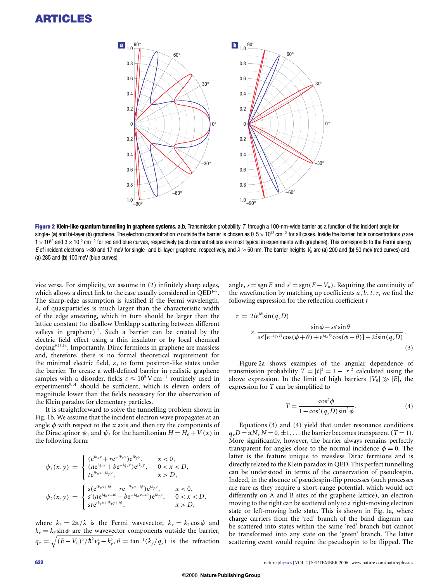

Figure 2 Klein-like quantum tunnelling in graphene systems. a,b, Transmission probability T through a 100-nm-wide barrier as a function of the incident angle for single- (a) and bi-layer (b) graphene. The electron concentration n outside the barrier is chosen as  $0.5 \times 10^{12}$  cm<sup>-2</sup> for all cases. Inside the barrier, hole concentrations p are 1 × 10<sup>12</sup> and 3 × 10<sup>12</sup> cm<sup>-2</sup> for red and blue curves, respectively (such concentrations are most typical in experiments with graphene). This corresponds to the Fermi energy E of incident electrons ≈80 and 17 meV for single- and bi-layer graphene, respectively, and  $\lambda \approx 50$  nm. The barrier heights V<sub>0</sub> are (a) 200 and (b) 50 meV (red curves) and (**a**) 285 and (**b**) 100 meV (blue curves).

vice versa. For simplicity, we assume in (2) infinitely sharp edges, which allows a direct link to the case usually considered in  $OED^{1-7}$ . The sharp-edge assumption is justified if the Fermi wavelength,  $\lambda$ , of quasiparticles is much larger than the characteristic width of the edge smearing, which in turn should be larger than the lattice constant (to disallow Umklapp scattering between different valleys in graphene)<sup>17</sup>. Such a barrier can be created by the electric field effect using a thin insulator or by local chemical doping<sup>9,13,14</sup>. Importantly, Dirac fermions in graphene are massless and, therefore, there is no formal theoretical requirement for the minimal electric field,  $\varepsilon$ , to form positron-like states under the barrier. To create a well-defined barrier in realistic graphene samples with a disorder, fields  $\varepsilon \approx 10^5$  V cm<sup>-1</sup> routinely used in experiments<sup>9,14</sup> should be sufficient, which is eleven orders of magnitude lower than the fields necessary for the observation of the Klein paradox for elementary particles.

It is straightforward to solve the tunnelling problem shown in Fig. 1b. We assume that the incident electron wave propagates at an angle  $\phi$  with respect to the *x* axis and then try the components of the Dirac spinor  $\psi_1$  and  $\psi_2$  for the hamiltonian  $H = H_0 + V(x)$  in the following form:

$$
\psi_1(x, y) = \begin{cases}\n(e^{ik_x x} + re^{-ik_x x})e^{ik_y y}, & x < 0, \\
(a e^{iq_x x} + be^{-iq_x x})e^{ik_y y}, & 0 < x < D, \\
te^{ik_x x + ik_y y}, & x > D,\n\end{cases}
$$
\n
$$
\psi_2(x, y) = \begin{cases}\ns(e^{ik_x x + i\phi} - re^{-ik_x x - i\phi})e^{ik_y y}, & x < 0, \\
s'(ae^{iq_x x + i\phi} - be^{-iq_x x - i\theta})e^{ik_y y}, & 0 < x < D, \\
ste^{ik_x x + ik_y y + i\phi}, & x > D,\n\end{cases}
$$

where  $k_F = 2\pi/\lambda$  is the Fermi wavevector,  $k_x = k_F \cos \phi$  and  $k_y = k_F \sin \phi$  are the wavevector components outside the barrier,  $q_x = \sqrt{(E - V_0)^2 / \hbar^2 v_F^2 - k_y^2}$ ,  $\theta = \tan^{-1}(k_y/q_x)$  is the refraction angle,  $s = \text{sgn } E$  and  $s' = \text{sgn}(E - V_0)$ . Requiring the continuity of the wavefunction by matching up coefficients *a*,*b*,*t*,*r*, we find the following expression for the reflection coefficient *r*

$$
r = 2ie^{i\phi}\sin(q_x D)
$$
  
 
$$
\times \frac{\sin\phi - ss'\sin\theta}{ss'[e^{-iq_x D}\cos(\phi+\theta) + e^{iq_x D}\cos(\phi-\theta)] - 2i\sin(q_x D)}.
$$
  
(3)

Figure 2a shows examples of the angular dependence of transmission probability  $T = |t|^2 = 1 - |r|^2$  calculated using the above expression. In the limit of high barriers  $|V_0| \gg |E|$ , the expression for *T* can be simplified to

$$
T = \frac{\cos^2 \phi}{1 - \cos^2 (q_x D) \sin^2 \phi}.
$$
 (4)

Equations (3) and (4) yield that under resonance conditions  $q_xD = \pi N$ ,  $N = 0, \pm 1, \ldots$  the barrier becomes transparent (*T* = 1). More significantly, however, the barrier always remains perfectly transparent for angles close to the normal incidence  $\phi = 0$ . The latter is the feature unique to massless Dirac fermions and is directly related to the Klein paradox in QED. This perfect tunnelling can be understood in terms of the conservation of pseudospin. Indeed, in the absence of pseudospin-flip processes (such processes are rare as they require a short-range potential, which would act differently on A and B sites of the graphene lattice), an electron moving to the right can be scattered only to a right-moving electron state or left-moving hole state. This is shown in Fig. 1a, where charge carriers from the 'red' branch of the band diagram can be scattered into states within the same 'red' branch but cannot be transformed into any state on the 'green' branch. The latter scattering event would require the pseudospin to be flipped. The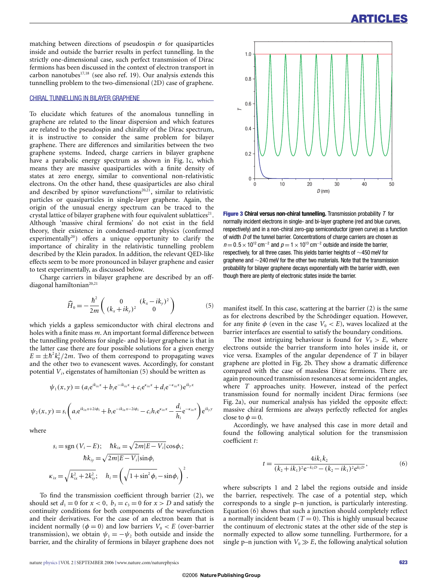# **ARTICLES**

matching between directions of pseudospin  $\sigma$  for quasiparticles inside and outside the barrier results in perfect tunnelling. In the strictly one-dimensional case, such perfect transmission of Dirac fermions has been discussed in the context of electron transport in carbon nanotubes $17,18$  (see also ref. 19). Our analysis extends this tunnelling problem to the two-dimensional (2D) case of graphene.

### CHIRAL TUNNELLING IN BILAYER GRAPHENE

To elucidate which features of the anomalous tunnelling in graphene are related to the linear dispersion and which features are related to the pseudospin and chirality of the Dirac spectrum, it is instructive to consider the same problem for bilayer graphene. There are differences and similarities between the two graphene systems. Indeed, charge carriers in bilayer graphene have a parabolic energy spectrum as shown in Fig. 1c, which means they are massive quasiparticles with a finite density of states at zero energy, similar to conventional non-relativistic electrons. On the other hand, these quasiparticles are also chiral and described by spinor wavefunctions<sup>20,21</sup>, similar to relativistic particles or quasiparticles in single-layer graphene. Again, the origin of the unusual energy spectrum can be traced to the crystal lattice of bilayer graphene with four equivalent sublattices<sup>21</sup>. Although 'massive chiral fermions' do not exist in the field theory, their existence in condensed-matter physics (confirmed experimentally<sup>20</sup>) offers a unique opportunity to clarify the importance of chirality in the relativistic tunnelling problem described by the Klein paradox. In addition, the relevant QED-like effects seem to be more pronounced in bilayer graphene and easier to test experimentally, as discussed below.

Charge carriers in bilayer graphene are described by an offdiagonal hamiltonian $20,21$ 

$$
\widehat{H}_0 = -\frac{\hbar^2}{2m} \left( \begin{array}{cc} 0 & (k_x - ik_y)^2 \\ (k_x + ik_y)^2 & 0 \end{array} \right) \tag{5}
$$

which yields a gapless semiconductor with chiral electrons and holes with a finite mass *m*. An important formal difference between the tunnelling problems for single- and bi-layer graphene is that in the latter case there are four possible solutions for a given energy  $E = \pm \hbar^2 k_{\rm F}^2 / 2m$ . Two of them correspond to propagating waves and the other two to evanescent waves. Accordingly, for constant potential *Vi*, eigenstates of hamiltonian (5) should be written as

$$
\psi_1(x, y) = (a_i e^{ik_{ix}x} + b_i e^{-ik_{ix}x} + c_i e^{\kappa_{ix}x} + d_i e^{-\kappa_{ix}x}) e^{ik_yx}
$$

$$
\psi_2(x, y) = s_i \left( a_i e^{ik_{ix}x + 2i\phi_i} + b_i e^{-ik_{ix}x - 2i\phi_i} - c_i h_i e^{\kappa_{ix}x} - \frac{d_i}{h_i} e^{-\kappa_{ix}x} \right) e^{ik_yy}
$$

where

$$
s_i = \operatorname{sgn}(V_i - E); \quad \hbar k_{ix} = \sqrt{2m|E - V_i|} \cos \phi_i;
$$

$$
\hbar k_{iy} = \sqrt{2m|E - V_i|} \sin \phi_i
$$

$$
\kappa_{ix} = \sqrt{k_{ix}^2 + 2k_{iy}^2}; \quad h_i = \left(\sqrt{1 + \sin^2 \phi_i} - \sin \phi_i\right)^2.
$$

To find the transmission coefficient through barrier (2), we should set  $d_1 = 0$  for  $x < 0$ ,  $b_3 = c_3 = 0$  for  $x > D$  and satisfy the continuity conditions for both components of the wavefunction and their derivatives. For the case of an electron beam that is incident normally  $(\phi = 0)$  and low barriers  $V_0 < E$  (over-barrier transmission), we obtain  $\psi_1 = -\psi_2$  both outside and inside the barrier, and the chirality of fermions in bilayer graphene does not



**Figure 3 Chiral versus non-chiral tunnelling.** Transmission probability T for normally incident electrons in single- and bi-layer graphene (red and blue curves, respectively) and in a non-chiral zero-gap semiconductor (green curve) as a function of width D of the tunnel barrier. Concentrations of charge carriers are chosen as  $n = 0.5 \times 10^{12}$  cm<sup>-2</sup> and  $p = 1 \times 10^{13}$  cm<sup>-2</sup> outside and inside the barrier. respectively, for all three cases. This yields barrier heights of ∼450 meV for graphene and ∼240 meV for the other two materials. Note that the transmission probability for bilayer graphene decays exponentially with the barrier width, even though there are plenty of electronic states inside the barrier.

manifest itself. In this case, scattering at the barrier (2) is the same as for electrons described by the Schrödinger equation. However, for any finite  $\phi$  (even in the case  $V_0 < E$ ), waves localized at the barrier interfaces are essential to satisfy the boundary conditions.

The most intriguing behaviour is found for  $V_0 > E$ , where electrons outside the barrier transform into holes inside it, or vice versa. Examples of the angular dependence of *T* in bilayer graphene are plotted in Fig. 2b. They show a dramatic difference compared with the case of massless Dirac fermions. There are again pronounced transmission resonances at some incident angles, where *T* approaches unity. However, instead of the perfect transmission found for normally incident Dirac fermions (see Fig. 2a), our numerical analysis has yielded the opposite effect: massive chiral fermions are always perfectly reflected for angles close to  $\phi = 0$ .

Accordingly, we have analysed this case in more detail and found the following analytical solution for the transmission coefficient *t*:

$$
t = \frac{4ik_1k_2}{(k_2+ik_1)^2e^{-k_2D} - (k_2-ik_1)^2e^{k_2D}},
$$
\n(6)

where subscripts 1 and 2 label the regions outside and inside the barrier, respectively. The case of a potential step, which corresponds to a single p–n junction, is particularly interesting. Equation (6) shows that such a junction should completely reflect a normally incident beam  $(T = 0)$ . This is highly unusual because the continuum of electronic states at the other side of the step is normally expected to allow some tunnelling. Furthermore, for a single p–n junction with  $V_0 \gg E$ , the following analytical solution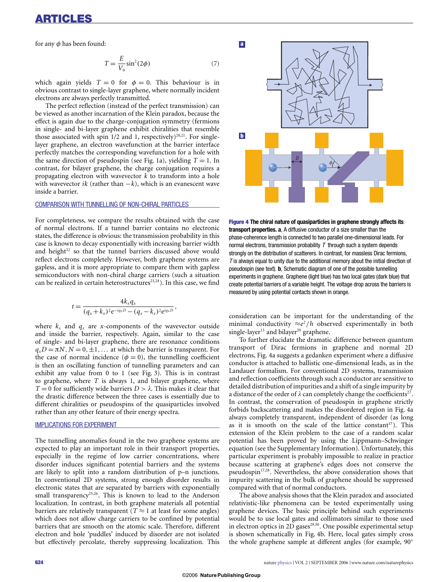# **ARTICLES**

for any  $\phi$  has been found:

$$
T = \frac{E}{V_0} \sin^2(2\phi) \tag{7}
$$

which again yields  $T = 0$  for  $\phi = 0$ . This behaviour is in obvious contrast to single-layer graphene, where normally incident electrons are always perfectly transmitted.

The perfect reflection (instead of the perfect transmission) can be viewed as another incarnation of the Klein paradox, because the effect is again due to the charge-conjugation symmetry (fermions in single- and bi-layer graphene exhibit chiralities that resemble those associated with spin  $1/2$  and 1, respectively)<sup>20,21</sup>. For singlelayer graphene, an electron wavefunction at the barrier interface perfectly matches the corresponding wavefunction for a hole with the same direction of pseudospin (see Fig. 1a), yielding  $T = 1$ . In contrast, for bilayer graphene, the charge conjugation requires a propagating electron with wavevector *k* to transform into a hole with wavevector *ik* (rather than  $-k$ ), which is an evanescent wave inside a barrier.

### COMPARISON WITH TUNNELLING OF NON-CHIRAL PARTICLES

For completeness, we compare the results obtained with the case of normal electrons. If a tunnel barrier contains no electronic states, the difference is obvious: the transmission probability in this case is known to decay exponentially with increasing barrier width and height<sup>22</sup> so that the tunnel barriers discussed above would reflect electrons completely. However, both graphene systems are gapless, and it is more appropriate to compare them with gapless semiconductors with non-chiral charge carriers (such a situation can be realized in certain heterostructures<sup>23,24</sup>). In this case, we find

$$
t = \frac{4k_x q_x}{(q_x + k_x)^2 e^{-iq_x D} - (q_x - k_x)^2 e^{iq_x D}},
$$

where  $k_x$  and  $q_x$  are *x*-components of the wavevector outside and inside the barrier, respectively. Again, similar to the case of single- and bi-layer graphene, there are resonance conditions  $q_xD = \pi N$ ,  $N = 0, \pm 1, \ldots$  at which the barrier is transparent. For the case of normal incidence ( $\phi = 0$ ), the tunnelling coefficient is then an oscillating function of tunnelling parameters and can exhibit any value from 0 to 1 (see Fig. 3). This is in contrast to graphene, where *T* is always 1, and bilayer graphene, where  $T = 0$  for sufficiently wide barriers  $D > \lambda$ . This makes it clear that the drastic difference between the three cases is essentially due to different chiralities or pseudospins of the quasiparticles involved rather than any other feature of their energy spectra.

### IMPLICATIONS FOR EXPERIMENT

The tunnelling anomalies found in the two graphene systems are expected to play an important role in their transport properties, especially in the regime of low carrier concentrations, where disorder induces significant potential barriers and the systems are likely to split into a random distribution of p–n junctions. In conventional 2D systems, strong enough disorder results in electronic states that are separated by barriers with exponentially small transparency<sup>25,26</sup>. This is known to lead to the Anderson localization. In contrast, in both graphene materials all potential barriers are relatively transparent ( $\overline{T} \approx 1$  at least for some angles) which does not allow charge carriers to be confined by potential barriers that are smooth on the atomic scale. Therefore, different electron and hole 'puddles' induced by disorder are not isolated but effectively percolate, thereby suppressing localization. This



**Figure 4 The chiral nature of quasiparticles in graphene strongly affects its transport properties. a**, A diffusive conductor of a size smaller than the phase-coherence length is connected to two parallel one-dimensional leads. For normal electrons, transmission probability  $T$  through such a system depends strongly on the distribution of scatterers. In contrast, for massless Dirac fermions, T is always equal to unity due to the additional memory about the initial direction of pseudospin (see text). **b**, Schematic diagram of one of the possible tunnelling experiments in graphene. Graphene (light blue) has two local gates (dark blue) that create potential barriers of a variable height. The voltage drop across the barriers is measured by using potential contacts shown in orange.

consideration can be important for the understanding of the minimal conductivity  $\approx e^2/h$  observed experimentally in both single-layer<sup>13</sup> and bilayer<sup>20</sup> graphene.

To further elucidate the dramatic difference between quantum transport of Dirac fermions in graphene and normal 2D electrons, Fig. 4a suggests a gedanken experiment where a diffusive conductor is attached to ballistic one-dimensional leads, as in the Landauer formalism. For conventional 2D systems, transmission and reflection coefficients through such a conductor are sensitive to detailed distribution of impurities and a shift of a single impurity by a distance of the order of  $\lambda$  can completely change the coefficients<sup>27</sup>. In contrast, the conservation of pseudospin in graphene strictly forbids backscattering and makes the disordered region in Fig. 4a always completely transparent, independent of disorder (as long as it is smooth on the scale of the lattice constant<sup>17</sup>). This extension of the Klein problem to the case of a random scalar potential has been proved by using the Lippmann–Schwinger equation (see the Supplementary Information). Unfortunately, this particular experiment is probably impossible to realize in practice because scattering at graphene's edges does not conserve the pseudospin $17,28$ . Nevertheless, the above consideration shows that impurity scattering in the bulk of graphene should be suppressed compared with that of normal conductors.

The above analysis shows that the Klein paradox and associated relativistic-like phenomena can be tested experimentally using graphene devices. The basic principle behind such experiments would be to use local gates and collimators similar to those used in electron optics in  $2D$  gases<sup>29,30</sup>. One possible experimental setup is shown schematically in Fig. 4b. Here, local gates simply cross the whole graphene sample at different angles (for example, 90◦